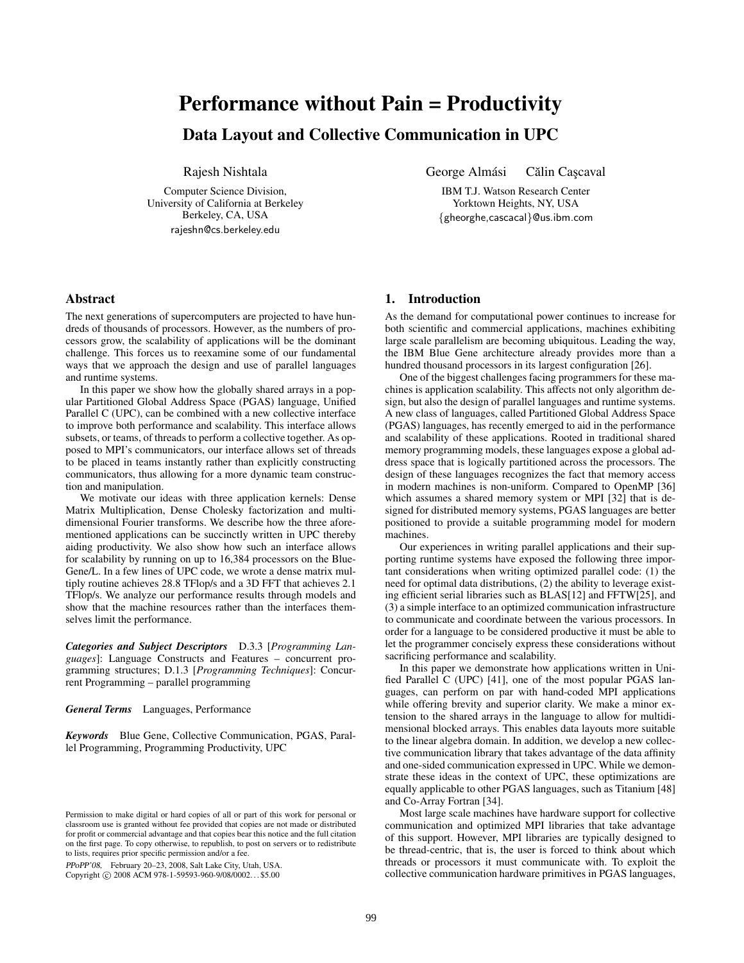# Performance without Pain = Productivity

Data Layout and Collective Communication in UPC

Rajesh Nishtala

Computer Science Division, University of California at Berkeley Berkeley, CA, USA rajeshn@cs.berkeley.edu

George Almási Călin Cașcaval

IBM T.J. Watson Research Center Yorktown Heights, NY, USA {gheorghe,cascacal}@us.ibm.com

# Abstract

The next generations of supercomputers are projected to have hundreds of thousands of processors. However, as the numbers of processors grow, the scalability of applications will be the dominant challenge. This forces us to reexamine some of our fundamental ways that we approach the design and use of parallel languages and runtime systems.

In this paper we show how the globally shared arrays in a popular Partitioned Global Address Space (PGAS) language, Unified Parallel C (UPC), can be combined with a new collective interface to improve both performance and scalability. This interface allows subsets, or teams, of threads to perform a collective together. As opposed to MPI's communicators, our interface allows set of threads to be placed in teams instantly rather than explicitly constructing communicators, thus allowing for a more dynamic team construction and manipulation.

We motivate our ideas with three application kernels: Dense Matrix Multiplication, Dense Cholesky factorization and multidimensional Fourier transforms. We describe how the three aforementioned applications can be succinctly written in UPC thereby aiding productivity. We also show how such an interface allows for scalability by running on up to 16,384 processors on the Blue-Gene/L. In a few lines of UPC code, we wrote a dense matrix multiply routine achieves 28.8 TFlop/s and a 3D FFT that achieves 2.1 TFlop/s. We analyze our performance results through models and show that the machine resources rather than the interfaces themselves limit the performance.

*Categories and Subject Descriptors* D.3.3 [*Programming Languages*]: Language Constructs and Features – concurrent programming structures; D.1.3 [*Programming Techniques*]: Concurrent Programming – parallel programming

*General Terms* Languages, Performance

*Keywords* Blue Gene, Collective Communication, PGAS, Parallel Programming, Programming Productivity, UPC

PPoPP'08, February 20–23, 2008, Salt Lake City, Utah, USA. Copyright © 2008 ACM 978-1-59593-960-9/08/0002... \$5.00

# 1. Introduction

As the demand for computational power continues to increase for both scientific and commercial applications, machines exhibiting large scale parallelism are becoming ubiquitous. Leading the way, the IBM Blue Gene architecture already provides more than a hundred thousand processors in its largest configuration [26].

One of the biggest challenges facing programmers for these machines is application scalability. This affects not only algorithm design, but also the design of parallel languages and runtime systems. A new class of languages, called Partitioned Global Address Space (PGAS) languages, has recently emerged to aid in the performance and scalability of these applications. Rooted in traditional shared memory programming models, these languages expose a global address space that is logically partitioned across the processors. The design of these languages recognizes the fact that memory access in modern machines is non-uniform. Compared to OpenMP [36] which assumes a shared memory system or MPI [32] that is designed for distributed memory systems, PGAS languages are better positioned to provide a suitable programming model for modern machines.

Our experiences in writing parallel applications and their supporting runtime systems have exposed the following three important considerations when writing optimized parallel code: (1) the need for optimal data distributions, (2) the ability to leverage existing efficient serial libraries such as BLAS[12] and FFTW[25], and (3) a simple interface to an optimized communication infrastructure to communicate and coordinate between the various processors. In order for a language to be considered productive it must be able to let the programmer concisely express these considerations without sacrificing performance and scalability.

In this paper we demonstrate how applications written in Unified Parallel C (UPC) [41], one of the most popular PGAS languages, can perform on par with hand-coded MPI applications while offering brevity and superior clarity. We make a minor extension to the shared arrays in the language to allow for multidimensional blocked arrays. This enables data layouts more suitable to the linear algebra domain. In addition, we develop a new collective communication library that takes advantage of the data affinity and one-sided communication expressed in UPC. While we demonstrate these ideas in the context of UPC, these optimizations are equally applicable to other PGAS languages, such as Titanium [48] and Co-Array Fortran [34].

Most large scale machines have hardware support for collective communication and optimized MPI libraries that take advantage of this support. However, MPI libraries are typically designed to be thread-centric, that is, the user is forced to think about which threads or processors it must communicate with. To exploit the collective communication hardware primitives in PGAS languages,

Permission to make digital or hard copies of all or part of this work for personal or classroom use is granted without fee provided that copies are not made or distributed for profit or commercial advantage and that copies bear this notice and the full citation on the first page. To copy otherwise, to republish, to post on servers or to redistribute to lists, requires prior specific permission and/or a fee.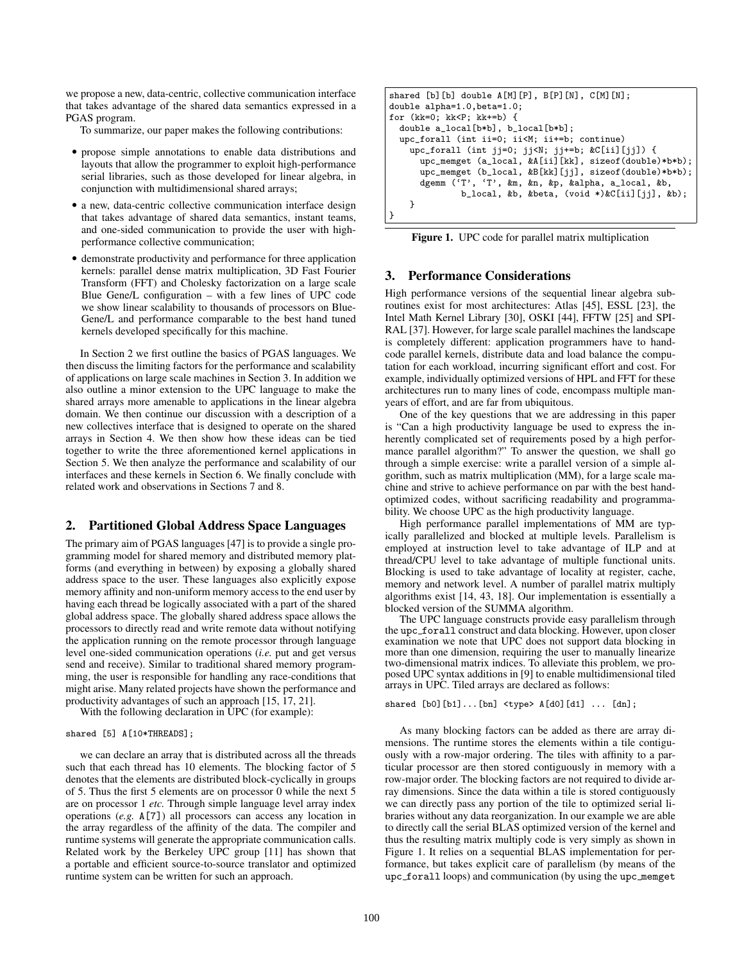we propose a new, data-centric, collective communication interface that takes advantage of the shared data semantics expressed in a PGAS program.

To summarize, our paper makes the following contributions:

- propose simple annotations to enable data distributions and layouts that allow the programmer to exploit high-performance serial libraries, such as those developed for linear algebra, in conjunction with multidimensional shared arrays;
- a new, data-centric collective communication interface design that takes advantage of shared data semantics, instant teams, and one-sided communication to provide the user with highperformance collective communication;
- demonstrate productivity and performance for three application kernels: parallel dense matrix multiplication, 3D Fast Fourier Transform (FFT) and Cholesky factorization on a large scale Blue Gene/L configuration – with a few lines of UPC code we show linear scalability to thousands of processors on Blue-Gene/L and performance comparable to the best hand tuned kernels developed specifically for this machine.

In Section 2 we first outline the basics of PGAS languages. We then discuss the limiting factors for the performance and scalability of applications on large scale machines in Section 3. In addition we also outline a minor extension to the UPC language to make the shared arrays more amenable to applications in the linear algebra domain. We then continue our discussion with a description of a new collectives interface that is designed to operate on the shared arrays in Section 4. We then show how these ideas can be tied together to write the three aforementioned kernel applications in Section 5. We then analyze the performance and scalability of our interfaces and these kernels in Section 6. We finally conclude with related work and observations in Sections 7 and 8.

## 2. Partitioned Global Address Space Languages

The primary aim of PGAS languages [47] is to provide a single programming model for shared memory and distributed memory platforms (and everything in between) by exposing a globally shared address space to the user. These languages also explicitly expose memory affinity and non-uniform memory access to the end user by having each thread be logically associated with a part of the shared global address space. The globally shared address space allows the processors to directly read and write remote data without notifying the application running on the remote processor through language level one-sided communication operations (*i.e.* put and get versus send and receive). Similar to traditional shared memory programming, the user is responsible for handling any race-conditions that might arise. Many related projects have shown the performance and productivity advantages of such an approach [15, 17, 21].

With the following declaration in UPC (for example):

#### shared [5] A[10\*THREADS];

we can declare an array that is distributed across all the threads such that each thread has 10 elements. The blocking factor of 5 denotes that the elements are distributed block-cyclically in groups of 5. Thus the first 5 elements are on processor 0 while the next 5 are on processor 1 *etc.* Through simple language level array index operations (*e.g.* A[7]) all processors can access any location in the array regardless of the affinity of the data. The compiler and runtime systems will generate the appropriate communication calls. Related work by the Berkeley UPC group [11] has shown that a portable and efficient source-to-source translator and optimized runtime system can be written for such an approach.

```
shared [b][b] double A[M][P], B[P][N], C[M][N];
double alpha=1.0,beta=1.0;
for (kk=0; kk<P; kk+=b) {
  double a_local[b*b], b_local[b*b];
  upc_forall (int ii=0; ii<M; ii+=b; continue)
    upc_forall (int jj=0; jj<N; jj+=b; &C[ii][jj]) {
      upc_memget (a_local, &A[ii][kk], sizeof(double)*b*b);
      upc_memget (b_local, &B[kk][jj], sizeof(double)*b*b);
      dgemm ('T', 'T', &m, &n, &p, &alpha, a_local, &b,
              b_local, &b, &beta, (void *)&C[ii][jj], &b);
    }
}
```
Figure 1. UPC code for parallel matrix multiplication

#### 3. Performance Considerations

High performance versions of the sequential linear algebra subroutines exist for most architectures: Atlas [45], ESSL [23], the Intel Math Kernel Library [30], OSKI [44], FFTW [25] and SPI-RAL [37]. However, for large scale parallel machines the landscape is completely different: application programmers have to handcode parallel kernels, distribute data and load balance the computation for each workload, incurring significant effort and cost. For example, individually optimized versions of HPL and FFT for these architectures run to many lines of code, encompass multiple manyears of effort, and are far from ubiquitous.

One of the key questions that we are addressing in this paper is "Can a high productivity language be used to express the inherently complicated set of requirements posed by a high performance parallel algorithm?" To answer the question, we shall go through a simple exercise: write a parallel version of a simple algorithm, such as matrix multiplication (MM), for a large scale machine and strive to achieve performance on par with the best handoptimized codes, without sacrificing readability and programmability. We choose UPC as the high productivity language.

High performance parallel implementations of MM are typically parallelized and blocked at multiple levels. Parallelism is employed at instruction level to take advantage of ILP and at thread/CPU level to take advantage of multiple functional units. Blocking is used to take advantage of locality at register, cache, memory and network level. A number of parallel matrix multiply algorithms exist [14, 43, 18]. Our implementation is essentially a blocked version of the SUMMA algorithm.

The UPC language constructs provide easy parallelism through the upc forall construct and data blocking. However, upon closer examination we note that UPC does not support data blocking in more than one dimension, requiring the user to manually linearize two-dimensional matrix indices. To alleviate this problem, we proposed UPC syntax additions in [9] to enable multidimensional tiled arrays in UPC. Tiled arrays are declared as follows:

shared [b0][b1]...[bn] <type> A[d0][d1] ... [dn];

As many blocking factors can be added as there are array dimensions. The runtime stores the elements within a tile contiguously with a row-major ordering. The tiles with affinity to a particular processor are then stored contiguously in memory with a row-major order. The blocking factors are not required to divide array dimensions. Since the data within a tile is stored contiguously we can directly pass any portion of the tile to optimized serial libraries without any data reorganization. In our example we are able to directly call the serial BLAS optimized version of the kernel and thus the resulting matrix multiply code is very simply as shown in Figure 1. It relies on a sequential BLAS implementation for performance, but takes explicit care of parallelism (by means of the upc forall loops) and communication (by using the upc memget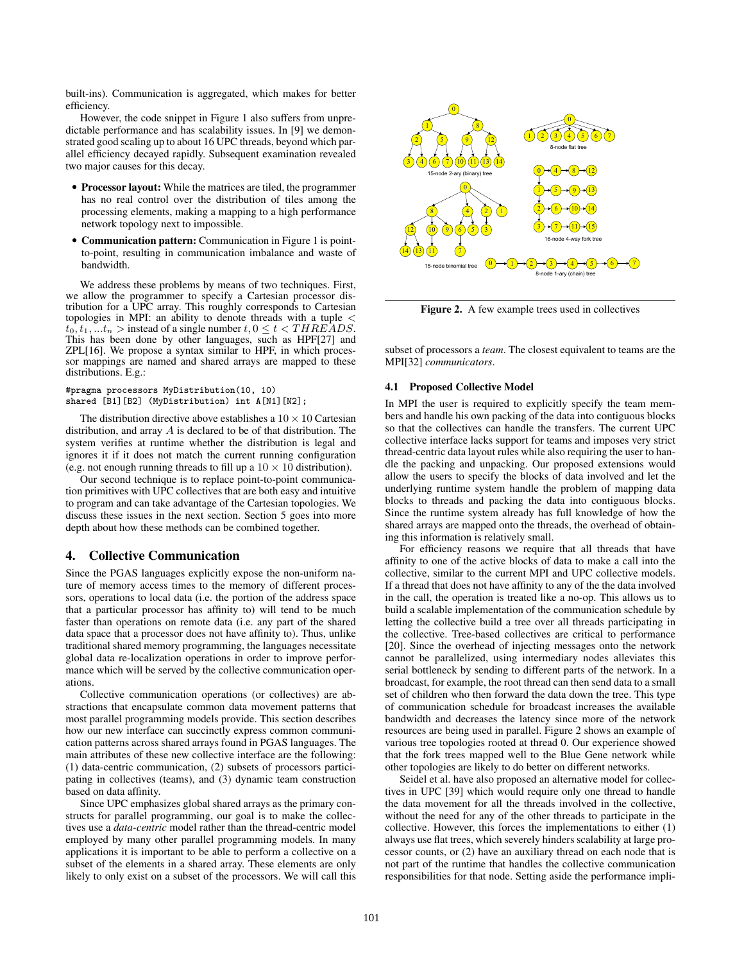built-ins). Communication is aggregated, which makes for better efficiency.

However, the code snippet in Figure 1 also suffers from unpredictable performance and has scalability issues. In [9] we demonstrated good scaling up to about 16 UPC threads, beyond which parallel efficiency decayed rapidly. Subsequent examination revealed two major causes for this decay.

- Processor layout: While the matrices are tiled, the programmer has no real control over the distribution of tiles among the processing elements, making a mapping to a high performance network topology next to impossible.
- Communication pattern: Communication in Figure 1 is pointto-point, resulting in communication imbalance and waste of bandwidth.

We address these problems by means of two techniques. First, we allow the programmer to specify a Cartesian processor distribution for a UPC array. This roughly corresponds to Cartesian topologies in MPI: an ability to denote threads with a tuple <  $t_0, t_1, ... t_n >$  instead of a single number  $t, 0 \le t < THREADS$ . This has been done by other languages, such as HPF[27] and ZPL[16]. We propose a syntax similar to HPF, in which processor mappings are named and shared arrays are mapped to these distributions. E.g.:

#pragma processors MyDistribution(10, 10) shared [B1][B2] (MyDistribution) int A[N1][N2];

The distribution directive above establishes a  $10 \times 10$  Cartesian distribution, and array A is declared to be of that distribution. The system verifies at runtime whether the distribution is legal and ignores it if it does not match the current running configuration (e.g. not enough running threads to fill up a  $10 \times 10$  distribution).

Our second technique is to replace point-to-point communication primitives with UPC collectives that are both easy and intuitive to program and can take advantage of the Cartesian topologies. We discuss these issues in the next section. Section 5 goes into more depth about how these methods can be combined together.

# 4. Collective Communication

Since the PGAS languages explicitly expose the non-uniform nature of memory access times to the memory of different processors, operations to local data (i.e. the portion of the address space that a particular processor has affinity to) will tend to be much faster than operations on remote data (i.e. any part of the shared data space that a processor does not have affinity to). Thus, unlike traditional shared memory programming, the languages necessitate global data re-localization operations in order to improve performance which will be served by the collective communication operations.

Collective communication operations (or collectives) are abstractions that encapsulate common data movement patterns that most parallel programming models provide. This section describes how our new interface can succinctly express common communication patterns across shared arrays found in PGAS languages. The main attributes of these new collective interface are the following: (1) data-centric communication, (2) subsets of processors participating in collectives (teams), and (3) dynamic team construction based on data affinity.

Since UPC emphasizes global shared arrays as the primary constructs for parallel programming, our goal is to make the collectives use a *data-centric* model rather than the thread-centric model employed by many other parallel programming models. In many applications it is important to be able to perform a collective on a subset of the elements in a shared array. These elements are only likely to only exist on a subset of the processors. We will call this



Figure 2. A few example trees used in collectives

subset of processors a *team*. The closest equivalent to teams are the MPI[32] *communicators*.

#### 4.1 Proposed Collective Model

In MPI the user is required to explicitly specify the team members and handle his own packing of the data into contiguous blocks so that the collectives can handle the transfers. The current UPC collective interface lacks support for teams and imposes very strict thread-centric data layout rules while also requiring the user to handle the packing and unpacking. Our proposed extensions would allow the users to specify the blocks of data involved and let the underlying runtime system handle the problem of mapping data blocks to threads and packing the data into contiguous blocks. Since the runtime system already has full knowledge of how the shared arrays are mapped onto the threads, the overhead of obtaining this information is relatively small.

For efficiency reasons we require that all threads that have affinity to one of the active blocks of data to make a call into the collective, similar to the current MPI and UPC collective models. If a thread that does not have affinity to any of the the data involved in the call, the operation is treated like a no-op. This allows us to build a scalable implementation of the communication schedule by letting the collective build a tree over all threads participating in the collective. Tree-based collectives are critical to performance [20]. Since the overhead of injecting messages onto the network cannot be parallelized, using intermediary nodes alleviates this serial bottleneck by sending to different parts of the network. In a broadcast, for example, the root thread can then send data to a small set of children who then forward the data down the tree. This type of communication schedule for broadcast increases the available bandwidth and decreases the latency since more of the network resources are being used in parallel. Figure 2 shows an example of various tree topologies rooted at thread 0. Our experience showed that the fork trees mapped well to the Blue Gene network while other topologies are likely to do better on different networks.

Seidel et al. have also proposed an alternative model for collectives in UPC [39] which would require only one thread to handle the data movement for all the threads involved in the collective, without the need for any of the other threads to participate in the collective. However, this forces the implementations to either (1) always use flat trees, which severely hinders scalability at large processor counts, or (2) have an auxiliary thread on each node that is not part of the runtime that handles the collective communication responsibilities for that node. Setting aside the performance impli-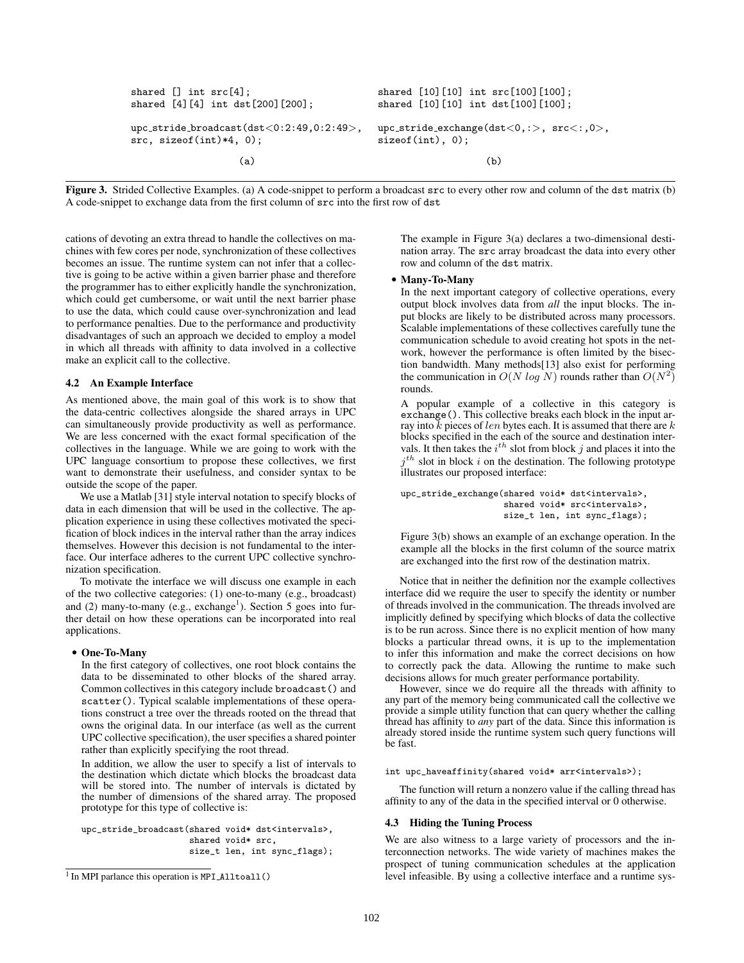```
shared [] int src[4];
shared [4][4] int dst[200][200];
upc stride broadcast(dst<0:2:49,0:2:49>,
src, sizeof(int)*4, 0);
                                     shared [10][10] int src[100][100];
                                     shared [10][10] int dst[100][100];
                                     upc stride exchange(dst<0,:>, src<:,0>,
                                     sizeof(int), 0);
                (a) (b)
```
Figure 3. Strided Collective Examples. (a) A code-snippet to perform a broadcast src to every other row and column of the dst matrix (b) A code-snippet to exchange data from the first column of src into the first row of dst

cations of devoting an extra thread to handle the collectives on machines with few cores per node, synchronization of these collectives becomes an issue. The runtime system can not infer that a collective is going to be active within a given barrier phase and therefore the programmer has to either explicitly handle the synchronization, which could get cumbersome, or wait until the next barrier phase to use the data, which could cause over-synchronization and lead to performance penalties. Due to the performance and productivity disadvantages of such an approach we decided to employ a model in which all threads with affinity to data involved in a collective make an explicit call to the collective.

#### 4.2 An Example Interface

As mentioned above, the main goal of this work is to show that the data-centric collectives alongside the shared arrays in UPC can simultaneously provide productivity as well as performance. We are less concerned with the exact formal specification of the collectives in the language. While we are going to work with the UPC language consortium to propose these collectives, we first want to demonstrate their usefulness, and consider syntax to be outside the scope of the paper.

We use a Matlab [31] style interval notation to specify blocks of data in each dimension that will be used in the collective. The application experience in using these collectives motivated the specification of block indices in the interval rather than the array indices themselves. However this decision is not fundamental to the interface. Our interface adheres to the current UPC collective synchronization specification.

To motivate the interface we will discuss one example in each of the two collective categories: (1) one-to-many (e.g., broadcast) and (2) many-to-many (e.g., exchange<sup>1</sup>). Section 5 goes into further detail on how these operations can be incorporated into real applications.

#### • One-To-Many

In the first category of collectives, one root block contains the data to be disseminated to other blocks of the shared array. Common collectives in this category include broadcast() and scatter(). Typical scalable implementations of these operations construct a tree over the threads rooted on the thread that owns the original data. In our interface (as well as the current UPC collective specification), the user specifies a shared pointer rather than explicitly specifying the root thread.

In addition, we allow the user to specify a list of intervals to the destination which dictate which blocks the broadcast data will be stored into. The number of intervals is dictated by the number of dimensions of the shared array. The proposed prototype for this type of collective is:

upc\_stride\_broadcast(shared void\* dst<intervals>, shared void\* src, size\_t len, int sync\_flags); The example in Figure 3(a) declares a two-dimensional destination array. The src array broadcast the data into every other row and column of the dst matrix.

#### • Many-To-Many

In the next important category of collective operations, every output block involves data from *all* the input blocks. The input blocks are likely to be distributed across many processors. Scalable implementations of these collectives carefully tune the communication schedule to avoid creating hot spots in the network, however the performance is often limited by the bisection bandwidth. Many methods[13] also exist for performing the communication in  $O(N \log N)$  rounds rather than  $O(N^2)$ rounds.

A popular example of a collective in this category is exchange(). This collective breaks each block in the input array into  $\vec{k}$  pieces of len bytes each. It is assumed that there are  $k$ blocks specified in the each of the source and destination intervals. It then takes the  $i^{th}$  slot from block j and places it into the  $j<sup>th</sup>$  slot in block i on the destination. The following prototype illustrates our proposed interface:

```
upc_stride_exchange(shared void* dst<intervals>,
                    shared void* src<intervals>,
                    size_t len, int sync_flags);
```
Figure 3(b) shows an example of an exchange operation. In the example all the blocks in the first column of the source matrix are exchanged into the first row of the destination matrix.

Notice that in neither the definition nor the example collectives interface did we require the user to specify the identity or number of threads involved in the communication. The threads involved are implicitly defined by specifying which blocks of data the collective is to be run across. Since there is no explicit mention of how many blocks a particular thread owns, it is up to the implementation to infer this information and make the correct decisions on how to correctly pack the data. Allowing the runtime to make such decisions allows for much greater performance portability.

However, since we do require all the threads with affinity to any part of the memory being communicated call the collective we provide a simple utility function that can query whether the calling thread has affinity to *any* part of the data. Since this information is already stored inside the runtime system such query functions will be fast.

int upc\_haveaffinity(shared void\* arr<intervals>);

The function will return a nonzero value if the calling thread has affinity to any of the data in the specified interval or 0 otherwise.

#### 4.3 Hiding the Tuning Process

We are also witness to a large variety of processors and the interconnection networks. The wide variety of machines makes the prospect of tuning communication schedules at the application level infeasible. By using a collective interface and a runtime sys-

<sup>&</sup>lt;sup>1</sup> In MPI parlance this operation is MPI\_Alltoall()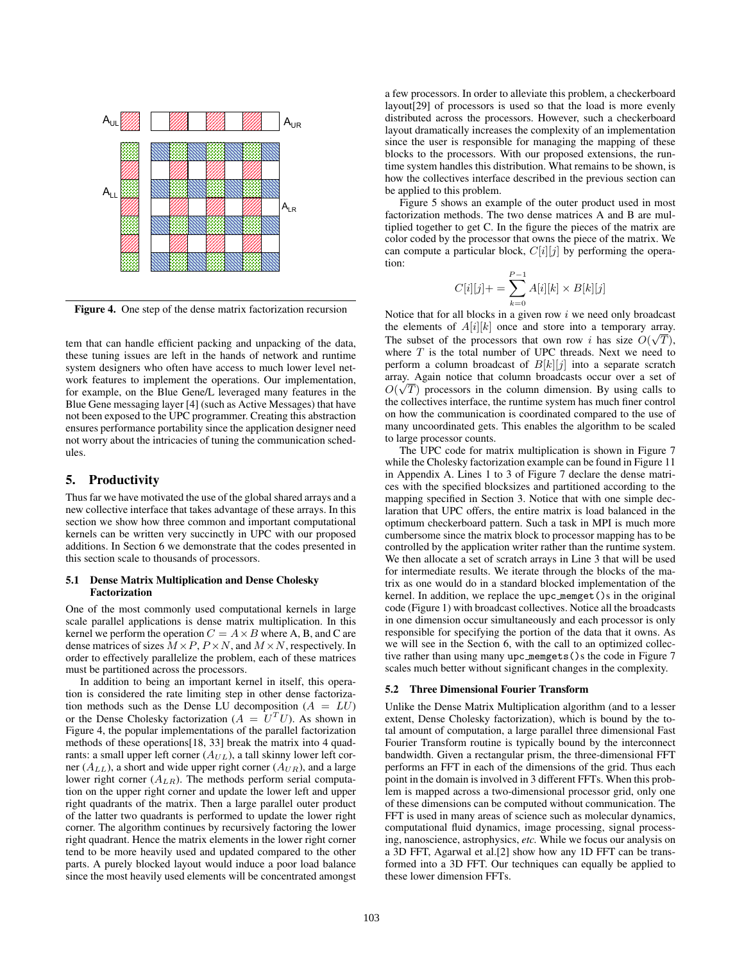

Figure 4. One step of the dense matrix factorization recursion

tem that can handle efficient packing and unpacking of the data, these tuning issues are left in the hands of network and runtime system designers who often have access to much lower level network features to implement the operations. Our implementation, for example, on the Blue Gene/L leveraged many features in the Blue Gene messaging layer [4] (such as Active Messages) that have not been exposed to the UPC programmer. Creating this abstraction ensures performance portability since the application designer need not worry about the intricacies of tuning the communication schedules.

### 5. Productivity

Thus far we have motivated the use of the global shared arrays and a new collective interface that takes advantage of these arrays. In this section we show how three common and important computational kernels can be written very succinctly in UPC with our proposed additions. In Section 6 we demonstrate that the codes presented in this section scale to thousands of processors.

#### 5.1 Dense Matrix Multiplication and Dense Cholesky Factorization

One of the most commonly used computational kernels in large scale parallel applications is dense matrix multiplication. In this kernel we perform the operation  $C = A \times B$  where A, B, and C are dense matrices of sizes  $M \times P$ ,  $P \times N$ , and  $M \times N$ , respectively. In order to effectively parallelize the problem, each of these matrices must be partitioned across the processors.

In addition to being an important kernel in itself, this operation is considered the rate limiting step in other dense factorization methods such as the Dense LU decomposition  $(A = LU)$ or the Dense Cholesky factorization ( $A = U^T U$ ). As shown in Figure 4, the popular implementations of the parallel factorization methods of these operations[18, 33] break the matrix into 4 quadrants: a small upper left corner  $(A_{UL})$ , a tall skinny lower left corner  $(A_{LL})$ , a short and wide upper right corner  $(A_{UR})$ , and a large lower right corner  $(A_{LR})$ . The methods perform serial computation on the upper right corner and update the lower left and upper right quadrants of the matrix. Then a large parallel outer product of the latter two quadrants is performed to update the lower right corner. The algorithm continues by recursively factoring the lower right quadrant. Hence the matrix elements in the lower right corner tend to be more heavily used and updated compared to the other parts. A purely blocked layout would induce a poor load balance since the most heavily used elements will be concentrated amongst a few processors. In order to alleviate this problem, a checkerboard layout[29] of processors is used so that the load is more evenly distributed across the processors. However, such a checkerboard layout dramatically increases the complexity of an implementation since the user is responsible for managing the mapping of these blocks to the processors. With our proposed extensions, the runtime system handles this distribution. What remains to be shown, is how the collectives interface described in the previous section can be applied to this problem.

Figure 5 shows an example of the outer product used in most factorization methods. The two dense matrices A and B are multiplied together to get C. In the figure the pieces of the matrix are color coded by the processor that owns the piece of the matrix. We can compute a particular block,  $C[i][j]$  by performing the operation:

$$
C[i][j] + = \sum_{k=0}^{P-1} A[i][k] \times B[k][j]
$$

Notice that for all blocks in a given row  $i$  we need only broadcast the elements of  $A[i][k]$  once and store into a temporary array. The subset of the processors that own row i has size  $O(\sqrt{T})$ , where  $T$  is the total number of UPC threads. Next we need to perform a column broadcast of  $B[k][j]$  into a separate scratch array. Again notice that column broadcasts occur over a set of √  $O(\sqrt{T})$  processors in the column dimension. By using calls to the collectives interface, the runtime system has much finer control on how the communication is coordinated compared to the use of many uncoordinated gets. This enables the algorithm to be scaled to large processor counts.

The UPC code for matrix multiplication is shown in Figure 7 while the Cholesky factorization example can be found in Figure 11 in Appendix A. Lines 1 to 3 of Figure 7 declare the dense matrices with the specified blocksizes and partitioned according to the mapping specified in Section 3. Notice that with one simple declaration that UPC offers, the entire matrix is load balanced in the optimum checkerboard pattern. Such a task in MPI is much more cumbersome since the matrix block to processor mapping has to be controlled by the application writer rather than the runtime system. We then allocate a set of scratch arrays in Line 3 that will be used for intermediate results. We iterate through the blocks of the matrix as one would do in a standard blocked implementation of the kernel. In addition, we replace the upc\_memget()s in the original code (Figure 1) with broadcast collectives. Notice all the broadcasts in one dimension occur simultaneously and each processor is only responsible for specifying the portion of the data that it owns. As we will see in the Section 6, with the call to an optimized collective rather than using many upc memgets()s the code in Figure 7 scales much better without significant changes in the complexity.

#### 5.2 Three Dimensional Fourier Transform

Unlike the Dense Matrix Multiplication algorithm (and to a lesser extent, Dense Cholesky factorization), which is bound by the total amount of computation, a large parallel three dimensional Fast Fourier Transform routine is typically bound by the interconnect bandwidth. Given a rectangular prism, the three-dimensional FFT performs an FFT in each of the dimensions of the grid. Thus each point in the domain is involved in 3 different FFTs. When this problem is mapped across a two-dimensional processor grid, only one of these dimensions can be computed without communication. The FFT is used in many areas of science such as molecular dynamics, computational fluid dynamics, image processing, signal processing, nanoscience, astrophysics, *etc.* While we focus our analysis on a 3D FFT, Agarwal et al.[2] show how any 1D FFT can be transformed into a 3D FFT. Our techniques can equally be applied to these lower dimension FFTs.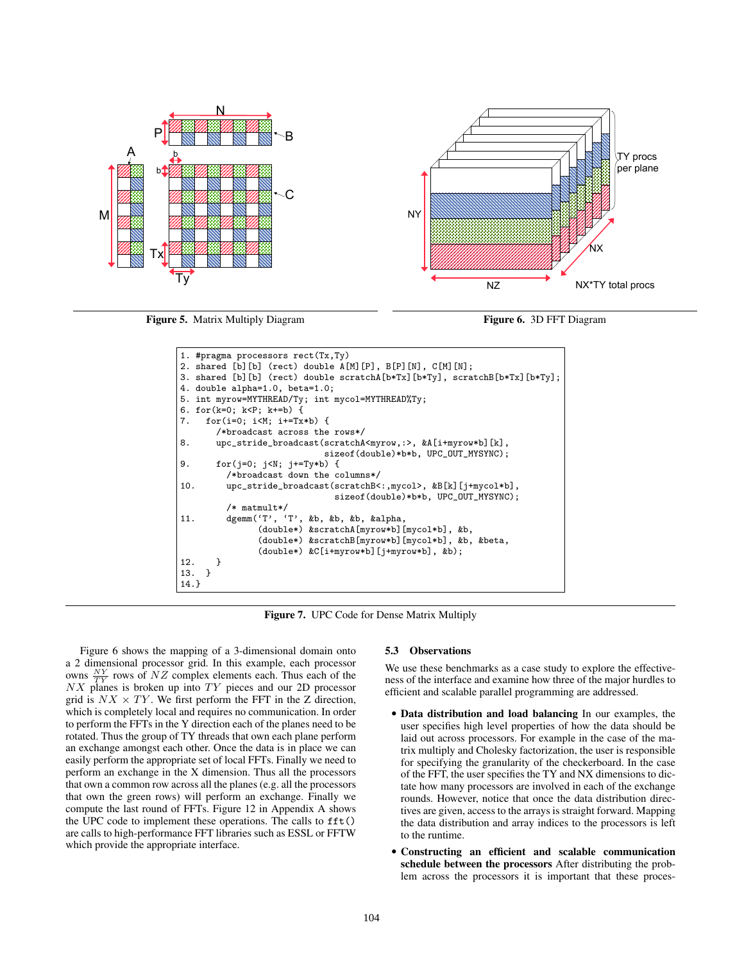

Figure 5. Matrix Multiply Diagram



```
1. #pragma processors rect(Tx,Ty)
2. shared [b][b] (rect) double A[M][P], B[P][N], C[M][N];
3. shared [b][b] (rect) double scratchA[b*Tx][b*Ty], scratchB[b*Tx][b*Ty];
4. double alpha=1.0, beta=1.0;
5. int myrow=MYTHREAD/Ty; int mycol=MYTHREAD%Ty;
6. for(k=0; k<P; k+=b) {
7. for(i=0; i<M; i+=Tx*b) {
       /*broadcast across the rows*/
8. upc_stride_broadcast(scratchA<myrow,:>, &A[i+myrow*b][k],
                           sizeof(double)*b*b, UPC_OUT_MYSYNC);
9. for(j=0; j<N; j+=Ty*b) {
         /*broadcast down the columns*/
10. upc_stride_broadcast(scratchB<:,mycol>, &B[k][j+mycol*b],
                             sizeof(double)*b*b, UPC_OUT_MYSYNC);
         /* matmult*/
11. dgemm('T', 'T', &b, &b, &b, &alpha,
               (double*) &scratchA[myrow*b][mycol*b], &b,
               (double*) &scratchB[myrow*b][mycol*b], &b, &beta,
               (double*) &C[i+myrow*b][j+myrow*b], &b);
12. }
13. }
14.}
```
Figure 7. UPC Code for Dense Matrix Multiply

Figure 6 shows the mapping of a 3-dimensional domain onto a 2 dimensional processor grid. In this example, each processor owns  $\frac{NY}{TY}$  rows of  $NZ$  complex elements each. Thus each of the  $NX$  planes is broken up into  $TY$  pieces and our 2D processor grid is  $NX \times TY$ . We first perform the FFT in the Z direction, which is completely local and requires no communication. In order to perform the FFTs in the Y direction each of the planes need to be rotated. Thus the group of TY threads that own each plane perform an exchange amongst each other. Once the data is in place we can easily perform the appropriate set of local FFTs. Finally we need to perform an exchange in the X dimension. Thus all the processors that own a common row across all the planes (e.g. all the processors that own the green rows) will perform an exchange. Finally we compute the last round of FFTs. Figure 12 in Appendix A shows the UPC code to implement these operations. The calls to fft() are calls to high-performance FFT libraries such as ESSL or FFTW which provide the appropriate interface.

#### 5.3 Observations

We use these benchmarks as a case study to explore the effectiveness of the interface and examine how three of the major hurdles to efficient and scalable parallel programming are addressed.

- Data distribution and load balancing In our examples, the user specifies high level properties of how the data should be laid out across processors. For example in the case of the matrix multiply and Cholesky factorization, the user is responsible for specifying the granularity of the checkerboard. In the case of the FFT, the user specifies the TY and NX dimensions to dictate how many processors are involved in each of the exchange rounds. However, notice that once the data distribution directives are given, access to the arrays is straight forward. Mapping the data distribution and array indices to the processors is left to the runtime.
- Constructing an efficient and scalable communication schedule between the processors After distributing the problem across the processors it is important that these proces-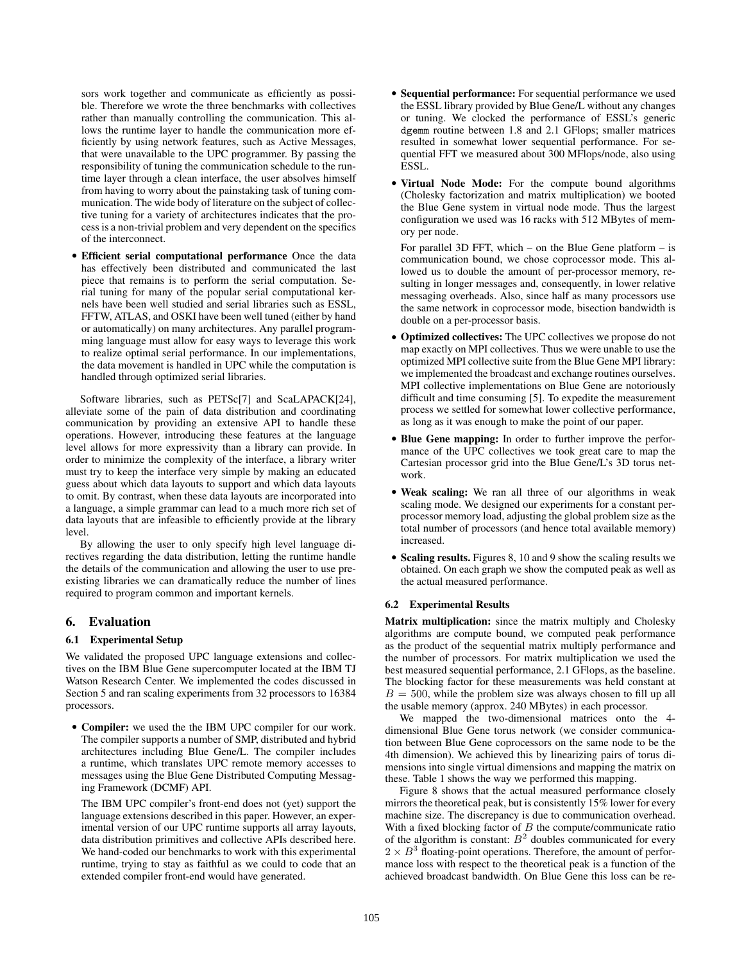sors work together and communicate as efficiently as possible. Therefore we wrote the three benchmarks with collectives rather than manually controlling the communication. This allows the runtime layer to handle the communication more efficiently by using network features, such as Active Messages, that were unavailable to the UPC programmer. By passing the responsibility of tuning the communication schedule to the runtime layer through a clean interface, the user absolves himself from having to worry about the painstaking task of tuning communication. The wide body of literature on the subject of collective tuning for a variety of architectures indicates that the process is a non-trivial problem and very dependent on the specifics of the interconnect.

• Efficient serial computational performance Once the data has effectively been distributed and communicated the last piece that remains is to perform the serial computation. Serial tuning for many of the popular serial computational kernels have been well studied and serial libraries such as ESSL, FFTW, ATLAS, and OSKI have been well tuned (either by hand or automatically) on many architectures. Any parallel programming language must allow for easy ways to leverage this work to realize optimal serial performance. In our implementations, the data movement is handled in UPC while the computation is handled through optimized serial libraries.

Software libraries, such as PETSc[7] and ScaLAPACK[24], alleviate some of the pain of data distribution and coordinating communication by providing an extensive API to handle these operations. However, introducing these features at the language level allows for more expressivity than a library can provide. In order to minimize the complexity of the interface, a library writer must try to keep the interface very simple by making an educated guess about which data layouts to support and which data layouts to omit. By contrast, when these data layouts are incorporated into a language, a simple grammar can lead to a much more rich set of data layouts that are infeasible to efficiently provide at the library level.

By allowing the user to only specify high level language directives regarding the data distribution, letting the runtime handle the details of the communication and allowing the user to use preexisting libraries we can dramatically reduce the number of lines required to program common and important kernels.

## 6. Evaluation

#### 6.1 Experimental Setup

We validated the proposed UPC language extensions and collectives on the IBM Blue Gene supercomputer located at the IBM TJ Watson Research Center. We implemented the codes discussed in Section 5 and ran scaling experiments from 32 processors to 16384 processors.

• Compiler: we used the the IBM UPC compiler for our work. The compiler supports a number of SMP, distributed and hybrid architectures including Blue Gene/L. The compiler includes a runtime, which translates UPC remote memory accesses to messages using the Blue Gene Distributed Computing Messaging Framework (DCMF) API.

The IBM UPC compiler's front-end does not (yet) support the language extensions described in this paper. However, an experimental version of our UPC runtime supports all array layouts, data distribution primitives and collective APIs described here. We hand-coded our benchmarks to work with this experimental runtime, trying to stay as faithful as we could to code that an extended compiler front-end would have generated.

- Sequential performance: For sequential performance we used the ESSL library provided by Blue Gene/L without any changes or tuning. We clocked the performance of ESSL's generic dgemm routine between 1.8 and 2.1 GFlops; smaller matrices resulted in somewhat lower sequential performance. For sequential FFT we measured about 300 MFlops/node, also using ESSL.
- Virtual Node Mode: For the compute bound algorithms (Cholesky factorization and matrix multiplication) we booted the Blue Gene system in virtual node mode. Thus the largest configuration we used was 16 racks with 512 MBytes of memory per node.

For parallel 3D FFT, which – on the Blue Gene platform – is communication bound, we chose coprocessor mode. This allowed us to double the amount of per-processor memory, resulting in longer messages and, consequently, in lower relative messaging overheads. Also, since half as many processors use the same network in coprocessor mode, bisection bandwidth is double on a per-processor basis.

- Optimized collectives: The UPC collectives we propose do not map exactly on MPI collectives. Thus we were unable to use the optimized MPI collective suite from the Blue Gene MPI library: we implemented the broadcast and exchange routines ourselves. MPI collective implementations on Blue Gene are notoriously difficult and time consuming [5]. To expedite the measurement process we settled for somewhat lower collective performance, as long as it was enough to make the point of our paper.
- Blue Gene mapping: In order to further improve the performance of the UPC collectives we took great care to map the Cartesian processor grid into the Blue Gene/L's 3D torus network.
- Weak scaling: We ran all three of our algorithms in weak scaling mode. We designed our experiments for a constant perprocessor memory load, adjusting the global problem size as the total number of processors (and hence total available memory) increased.
- Scaling results. Figures 8, 10 and 9 show the scaling results we obtained. On each graph we show the computed peak as well as the actual measured performance.

#### 6.2 Experimental Results

Matrix multiplication: since the matrix multiply and Cholesky algorithms are compute bound, we computed peak performance as the product of the sequential matrix multiply performance and the number of processors. For matrix multiplication we used the best measured sequential performance, 2.1 GFlops, as the baseline. The blocking factor for these measurements was held constant at  $B = 500$ , while the problem size was always chosen to fill up all the usable memory (approx. 240 MBytes) in each processor.

We mapped the two-dimensional matrices onto the 4 dimensional Blue Gene torus network (we consider communication between Blue Gene coprocessors on the same node to be the 4th dimension). We achieved this by linearizing pairs of torus dimensions into single virtual dimensions and mapping the matrix on these. Table 1 shows the way we performed this mapping.

Figure 8 shows that the actual measured performance closely mirrors the theoretical peak, but is consistently 15% lower for every machine size. The discrepancy is due to communication overhead. With a fixed blocking factor of  $B$  the compute/communicate ratio of the algorithm is constant:  $B<sup>2</sup>$  doubles communicated for every  $2 \times B<sup>3</sup>$  floating-point operations. Therefore, the amount of performance loss with respect to the theoretical peak is a function of the achieved broadcast bandwidth. On Blue Gene this loss can be re-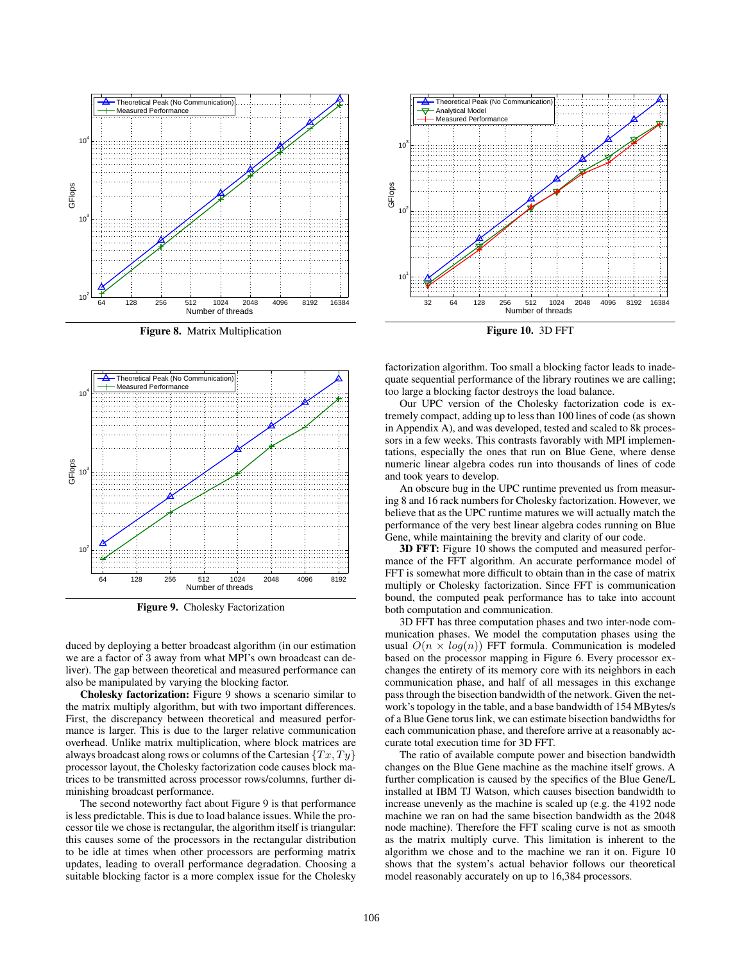

Figure 8. Matrix Multiplication



Figure 9. Cholesky Factorization

duced by deploying a better broadcast algorithm (in our estimation we are a factor of 3 away from what MPI's own broadcast can deliver). The gap between theoretical and measured performance can also be manipulated by varying the blocking factor.

Cholesky factorization: Figure 9 shows a scenario similar to the matrix multiply algorithm, but with two important differences. First, the discrepancy between theoretical and measured performance is larger. This is due to the larger relative communication overhead. Unlike matrix multiplication, where block matrices are always broadcast along rows or columns of the Cartesian  $\{Tx, Ty\}$ processor layout, the Cholesky factorization code causes block matrices to be transmitted across processor rows/columns, further diminishing broadcast performance.

The second noteworthy fact about Figure 9 is that performance is less predictable. This is due to load balance issues. While the processor tile we chose is rectangular, the algorithm itself is triangular: this causes some of the processors in the rectangular distribution to be idle at times when other processors are performing matrix updates, leading to overall performance degradation. Choosing a suitable blocking factor is a more complex issue for the Cholesky



Figure 10. 3D FFT

factorization algorithm. Too small a blocking factor leads to inadequate sequential performance of the library routines we are calling; too large a blocking factor destroys the load balance.

Our UPC version of the Cholesky factorization code is extremely compact, adding up to less than 100 lines of code (as shown in Appendix A), and was developed, tested and scaled to 8k processors in a few weeks. This contrasts favorably with MPI implementations, especially the ones that run on Blue Gene, where dense numeric linear algebra codes run into thousands of lines of code and took years to develop.

An obscure bug in the UPC runtime prevented us from measuring 8 and 16 rack numbers for Cholesky factorization. However, we believe that as the UPC runtime matures we will actually match the performance of the very best linear algebra codes running on Blue Gene, while maintaining the brevity and clarity of our code.

3D FFT: Figure 10 shows the computed and measured performance of the FFT algorithm. An accurate performance model of FFT is somewhat more difficult to obtain than in the case of matrix multiply or Cholesky factorization. Since FFT is communication bound, the computed peak performance has to take into account both computation and communication.

3D FFT has three computation phases and two inter-node communication phases. We model the computation phases using the usual  $O(n \times log(n))$  FFT formula. Communication is modeled based on the processor mapping in Figure 6. Every processor exchanges the entirety of its memory core with its neighbors in each communication phase, and half of all messages in this exchange pass through the bisection bandwidth of the network. Given the network's topology in the table, and a base bandwidth of 154 MBytes/s of a Blue Gene torus link, we can estimate bisection bandwidths for each communication phase, and therefore arrive at a reasonably accurate total execution time for 3D FFT.

The ratio of available compute power and bisection bandwidth changes on the Blue Gene machine as the machine itself grows. A further complication is caused by the specifics of the Blue Gene/L installed at IBM TJ Watson, which causes bisection bandwidth to increase unevenly as the machine is scaled up (e.g. the 4192 node machine we ran on had the same bisection bandwidth as the 2048 node machine). Therefore the FFT scaling curve is not as smooth as the matrix multiply curve. This limitation is inherent to the algorithm we chose and to the machine we ran it on. Figure 10 shows that the system's actual behavior follows our theoretical model reasonably accurately on up to 16,384 processors.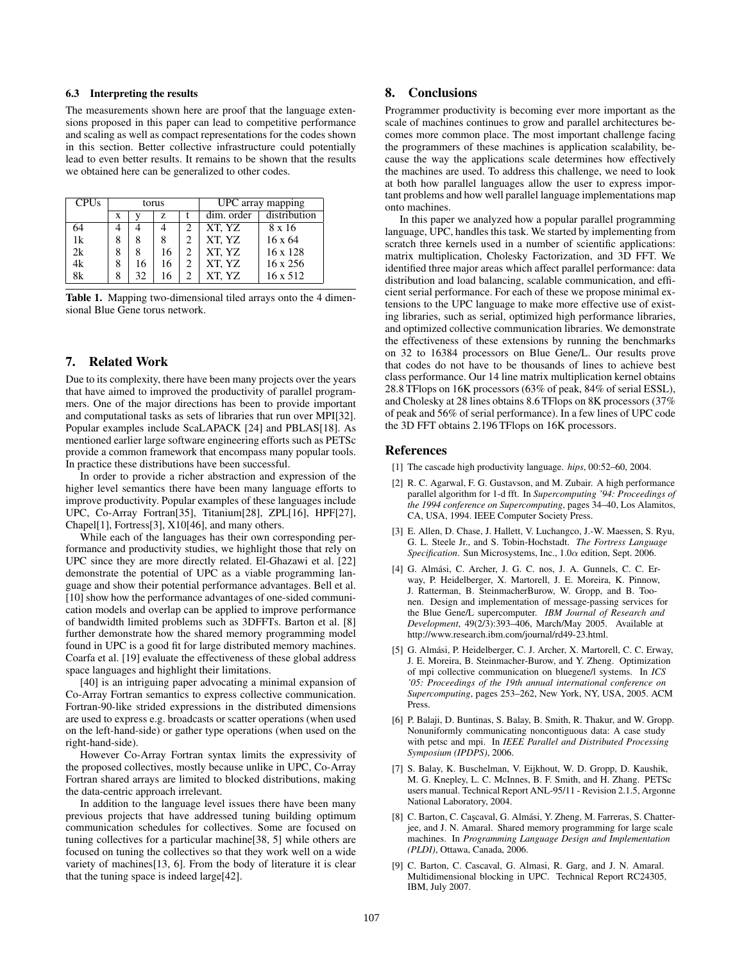#### 6.3 Interpreting the results

The measurements shown here are proof that the language extensions proposed in this paper can lead to competitive performance and scaling as well as compact representations for the codes shown in this section. Better collective infrastructure could potentially lead to even better results. It remains to be shown that the results we obtained here can be generalized to other codes.

| <b>CPUs</b> | torus |    |    |   | UPC array mapping |                 |
|-------------|-------|----|----|---|-------------------|-----------------|
|             | X     |    | Z  |   | dim. order        | distribution    |
| 64          |       |    |    |   | XT. YZ            | 8 x 16          |
| 1k          |       | 8  | 8  | 2 | XT, YZ            | $16 \times 64$  |
| 2k          |       |    | 16 | 2 | XT, YZ            | $16 \times 128$ |
| 4k          | 8     | 16 | 16 |   | XT, YZ            | 16 x 256        |
| 8k          |       | 32 | 16 |   | XT, YZ            | 16 x 512        |

Table 1. Mapping two-dimensional tiled arrays onto the 4 dimensional Blue Gene torus network.

# 7. Related Work

Due to its complexity, there have been many projects over the years that have aimed to improved the productivity of parallel programmers. One of the major directions has been to provide important and computational tasks as sets of libraries that run over MPI[32]. Popular examples include ScaLAPACK [24] and PBLAS[18]. As mentioned earlier large software engineering efforts such as PETSc provide a common framework that encompass many popular tools. In practice these distributions have been successful.

In order to provide a richer abstraction and expression of the higher level semantics there have been many language efforts to improve productivity. Popular examples of these languages include UPC, Co-Array Fortran[35], Titanium[28], ZPL[16], HPF[27], Chapel[1], Fortress[3], X10[46], and many others.

While each of the languages has their own corresponding performance and productivity studies, we highlight those that rely on UPC since they are more directly related. El-Ghazawi et al. [22] demonstrate the potential of UPC as a viable programming language and show their potential performance advantages. Bell et al. [10] show how the performance advantages of one-sided communication models and overlap can be applied to improve performance of bandwidth limited problems such as 3DFFTs. Barton et al. [8] further demonstrate how the shared memory programming model found in UPC is a good fit for large distributed memory machines. Coarfa et al. [19] evaluate the effectiveness of these global address space languages and highlight their limitations.

[40] is an intriguing paper advocating a minimal expansion of Co-Array Fortran semantics to express collective communication. Fortran-90-like strided expressions in the distributed dimensions are used to express e.g. broadcasts or scatter operations (when used on the left-hand-side) or gather type operations (when used on the right-hand-side).

However Co-Array Fortran syntax limits the expressivity of the proposed collectives, mostly because unlike in UPC, Co-Array Fortran shared arrays are limited to blocked distributions, making the data-centric approach irrelevant.

In addition to the language level issues there have been many previous projects that have addressed tuning building optimum communication schedules for collectives. Some are focused on tuning collectives for a particular machine[38, 5] while others are focused on tuning the collectives so that they work well on a wide variety of machines[13, 6]. From the body of literature it is clear that the tuning space is indeed large[42].

# 8. Conclusions

Programmer productivity is becoming ever more important as the scale of machines continues to grow and parallel architectures becomes more common place. The most important challenge facing the programmers of these machines is application scalability, because the way the applications scale determines how effectively the machines are used. To address this challenge, we need to look at both how parallel languages allow the user to express important problems and how well parallel language implementations map onto machines.

In this paper we analyzed how a popular parallel programming language, UPC, handles this task. We started by implementing from scratch three kernels used in a number of scientific applications: matrix multiplication, Cholesky Factorization, and 3D FFT. We identified three major areas which affect parallel performance: data distribution and load balancing, scalable communication, and efficient serial performance. For each of these we propose minimal extensions to the UPC language to make more effective use of existing libraries, such as serial, optimized high performance libraries, and optimized collective communication libraries. We demonstrate the effectiveness of these extensions by running the benchmarks on 32 to 16384 processors on Blue Gene/L. Our results prove that codes do not have to be thousands of lines to achieve best class performance. Our 14 line matrix multiplication kernel obtains 28.8 TFlops on 16K processors (63% of peak, 84% of serial ESSL), and Cholesky at 28 lines obtains 8.6 TFlops on 8K processors (37% of peak and 56% of serial performance). In a few lines of UPC code the 3D FFT obtains 2.196 TFlops on 16K processors.

## **References**

- [1] The cascade high productivity language. *hips*, 00:52–60, 2004.
- [2] R. C. Agarwal, F. G. Gustavson, and M. Zubair. A high performance parallel algorithm for 1-d fft. In *Supercomputing '94: Proceedings of the 1994 conference on Supercomputing*, pages 34–40, Los Alamitos, CA, USA, 1994. IEEE Computer Society Press.
- [3] E. Allen, D. Chase, J. Hallett, V. Luchangco, J.-W. Maessen, S. Ryu, G. L. Steele Jr., and S. Tobin-Hochstadt. *The Fortress Language Specification*. Sun Microsystems, Inc., 1.0α edition, Sept. 2006.
- [4] G. Almási, C. Archer, J. G. C. nos, J. A. Gunnels, C. C. Erway, P. Heidelberger, X. Martorell, J. E. Moreira, K. Pinnow, J. Ratterman, B. SteinmacherBurow, W. Gropp, and B. Toonen. Design and implementation of message-passing services for the Blue Gene/L supercomputer. *IBM Journal of Research and Development*, 49(2/3):393–406, March/May 2005. Available at http://www.research.ibm.com/journal/rd49-23.html.
- [5] G. Almási, P. Heidelberger, C. J. Archer, X. Martorell, C. C. Erway, J. E. Moreira, B. Steinmacher-Burow, and Y. Zheng. Optimization of mpi collective communication on bluegene/l systems. In *ICS '05: Proceedings of the 19th annual international conference on Supercomputing*, pages 253–262, New York, NY, USA, 2005. ACM Press.
- [6] P. Balaji, D. Buntinas, S. Balay, B. Smith, R. Thakur, and W. Gropp. Nonuniformly communicating noncontiguous data: A case study with petsc and mpi. In *IEEE Parallel and Distributed Processing Symposium (IPDPS)*, 2006.
- [7] S. Balay, K. Buschelman, V. Eijkhout, W. D. Gropp, D. Kaushik, M. G. Knepley, L. C. McInnes, B. F. Smith, and H. Zhang. PETSc users manual. Technical Report ANL-95/11 - Revision 2.1.5, Argonne National Laboratory, 2004.
- [8] C. Barton, C. Caşcaval, G. Almási, Y. Zheng, M. Farreras, S. Chatterjee, and J. N. Amaral. Shared memory programming for large scale machines. In *Programming Language Design and Implementation (PLDI)*, Ottawa, Canada, 2006.
- [9] C. Barton, C. Cascaval, G. Almasi, R. Garg, and J. N. Amaral. Multidimensional blocking in UPC. Technical Report RC24305, IBM, July 2007.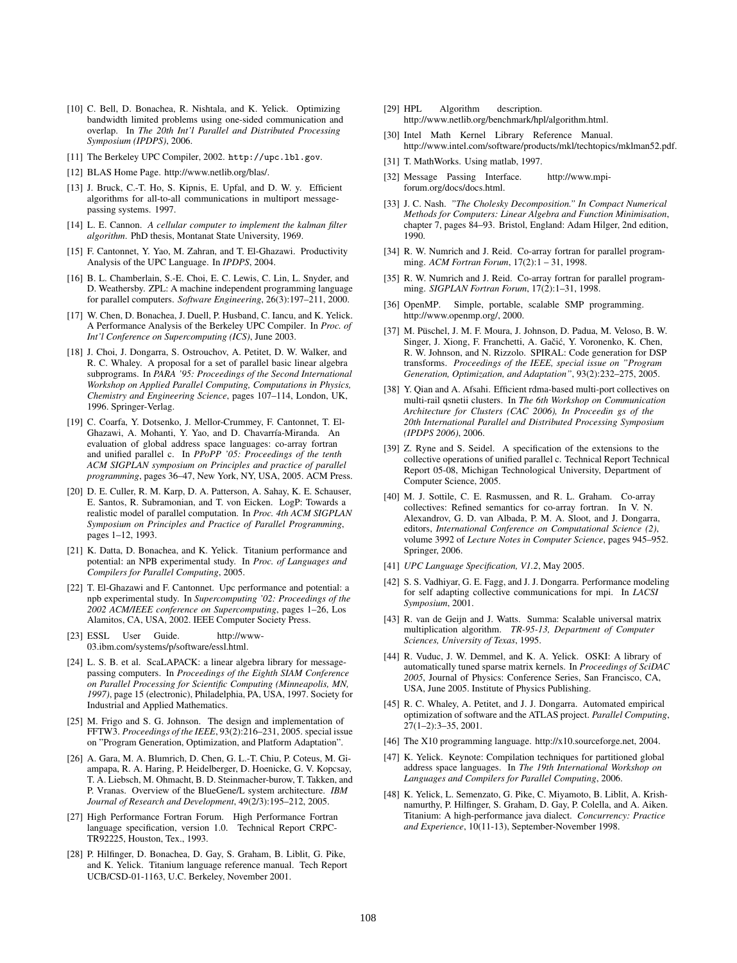- [10] C. Bell, D. Bonachea, R. Nishtala, and K. Yelick. Optimizing bandwidth limited problems using one-sided communication and overlap. In *The 20th Int'l Parallel and Distributed Processing Symposium (IPDPS)*, 2006.
- [11] The Berkeley UPC Compiler, 2002. http://upc.lbl.gov.
- [12] BLAS Home Page. http://www.netlib.org/blas/.
- [13] J. Bruck, C.-T. Ho, S. Kipnis, E. Upfal, and D. W. y. Efficient algorithms for all-to-all communications in multiport messagepassing systems. 1997.
- [14] L. E. Cannon. *A cellular computer to implement the kalman filter algorithm*. PhD thesis, Montanat State University, 1969.
- [15] F. Cantonnet, Y. Yao, M. Zahran, and T. El-Ghazawi. Productivity Analysis of the UPC Language. In *IPDPS*, 2004.
- [16] B. L. Chamberlain, S.-E. Choi, E. C. Lewis, C. Lin, L. Snyder, and D. Weathersby. ZPL: A machine independent programming language for parallel computers. *Software Engineering*, 26(3):197–211, 2000.
- [17] W. Chen, D. Bonachea, J. Duell, P. Husband, C. Iancu, and K. Yelick. A Performance Analysis of the Berkeley UPC Compiler. In *Proc. of Int'l Conference on Supercomputing (ICS)*, June 2003.
- [18] J. Choi, J. Dongarra, S. Ostrouchov, A. Petitet, D. W. Walker, and R. C. Whaley. A proposal for a set of parallel basic linear algebra subprograms. In *PARA '95: Proceedings of the Second International Workshop on Applied Parallel Computing, Computations in Physics, Chemistry and Engineering Science*, pages 107–114, London, UK, 1996. Springer-Verlag.
- [19] C. Coarfa, Y. Dotsenko, J. Mellor-Crummey, F. Cantonnet, T. El-Ghazawi, A. Mohanti, Y. Yao, and D. Chavarría-Miranda. An evaluation of global address space languages: co-array fortran and unified parallel c. In *PPoPP '05: Proceedings of the tenth ACM SIGPLAN symposium on Principles and practice of parallel programming*, pages 36–47, New York, NY, USA, 2005. ACM Press.
- [20] D. E. Culler, R. M. Karp, D. A. Patterson, A. Sahay, K. E. Schauser, E. Santos, R. Subramonian, and T. von Eicken. LogP: Towards a realistic model of parallel computation. In *Proc. 4th ACM SIGPLAN Symposium on Principles and Practice of Parallel Programming*, pages 1–12, 1993.
- [21] K. Datta, D. Bonachea, and K. Yelick. Titanium performance and potential: an NPB experimental study. In *Proc. of Languages and Compilers for Parallel Computing*, 2005.
- [22] T. El-Ghazawi and F. Cantonnet. Upc performance and potential: a npb experimental study. In *Supercomputing '02: Proceedings of the 2002 ACM/IEEE conference on Supercomputing*, pages 1–26, Los Alamitos, CA, USA, 2002. IEEE Computer Society Press.
- [23] ESSL User Guide. http://www-03.ibm.com/systems/p/software/essl.html.
- [24] L. S. B. et al. ScaLAPACK: a linear algebra library for messagepassing computers. In *Proceedings of the Eighth SIAM Conference on Parallel Processing for Scientific Computing (Minneapolis, MN, 1997)*, page 15 (electronic), Philadelphia, PA, USA, 1997. Society for Industrial and Applied Mathematics.
- [25] M. Frigo and S. G. Johnson. The design and implementation of FFTW3. *Proceedings of the IEEE*, 93(2):216–231, 2005. special issue on "Program Generation, Optimization, and Platform Adaptation".
- [26] A. Gara, M. A. Blumrich, D. Chen, G. L.-T. Chiu, P. Coteus, M. Giampapa, R. A. Haring, P. Heidelberger, D. Hoenicke, G. V. Kopcsay, T. A. Liebsch, M. Ohmacht, B. D. Steinmacher-burow, T. Takken, and P. Vranas. Overview of the BlueGene/L system architecture. *IBM Journal of Research and Development*, 49(2/3):195–212, 2005.
- [27] High Performance Fortran Forum. High Performance Fortran language specification, version 1.0. Technical Report CRPC-TR92225, Houston, Tex., 1993.
- [28] P. Hilfinger, D. Bonachea, D. Gay, S. Graham, B. Liblit, G. Pike, and K. Yelick. Titanium language reference manual. Tech Report UCB/CSD-01-1163, U.C. Berkeley, November 2001.
- [29] HPL Algorithm description. http://www.netlib.org/benchmark/hpl/algorithm.html.
- [30] Intel Math Kernel Library Reference Manual. http://www.intel.com/software/products/mkl/techtopics/mklman52.pdf.
- [31] T. MathWorks. Using matlab, 1997.
- [32] Message Passing Interface. http://www.mpiforum.org/docs/docs.html.
- [33] J. C. Nash. *"The Cholesky Decomposition." In Compact Numerical Methods for Computers: Linear Algebra and Function Minimisation*, chapter 7, pages 84–93. Bristol, England: Adam Hilger, 2nd edition, 1990.
- [34] R. W. Numrich and J. Reid. Co-array fortran for parallel programming. *ACM Fortran Forum*, 17(2):1 – 31, 1998.
- [35] R. W. Numrich and J. Reid. Co-array fortran for parallel programming. *SIGPLAN Fortran Forum*, 17(2):1–31, 1998.
- [36] OpenMP. Simple, portable, scalable SMP programming. http://www.openmp.org/, 2000.
- [37] M. Püschel, J. M. F. Moura, J. Johnson, D. Padua, M. Veloso, B. W. Singer, J. Xiong, F. Franchetti, A. Gačić, Y. Voronenko, K. Chen, R. W. Johnson, and N. Rizzolo. SPIRAL: Code generation for DSP transforms. *Proceedings of the IEEE, special issue on "Program Generation, Optimization, and Adaptation"*, 93(2):232–275, 2005.
- [38] Y. Qian and A. Afsahi. Efficient rdma-based multi-port collectives on multi-rail qsnetii clusters. In *The 6th Workshop on Communication Architecture for Clusters (CAC 2006), In Proceedin gs of the 20th International Parallel and Distributed Processing Symposium (IPDPS 2006)*, 2006.
- [39] Z. Ryne and S. Seidel. A specification of the extensions to the collective operations of unified parallel c. Technical Report Technical Report 05-08, Michigan Technological University, Department of Computer Science, 2005.
- [40] M. J. Sottile, C. E. Rasmussen, and R. L. Graham. Co-array collectives: Refined semantics for co-array fortran. In V. N. Alexandrov, G. D. van Albada, P. M. A. Sloot, and J. Dongarra, editors, *International Conference on Computational Science (2)*, volume 3992 of *Lecture Notes in Computer Science*, pages 945–952. Springer, 2006.
- [41] *UPC Language Specification, V1.2*, May 2005.
- [42] S. S. Vadhiyar, G. E. Fagg, and J. J. Dongarra. Performance modeling for self adapting collective communications for mpi. In *LACSI Symposium*, 2001.
- [43] R. van de Geijn and J. Watts. Summa: Scalable universal matrix multiplication algorithm. *TR-95-13, Department of Computer Sciences, University of Texas*, 1995.
- [44] R. Vuduc, J. W. Demmel, and K. A. Yelick. OSKI: A library of automatically tuned sparse matrix kernels. In *Proceedings of SciDAC 2005*, Journal of Physics: Conference Series, San Francisco, CA, USA, June 2005. Institute of Physics Publishing.
- [45] R. C. Whaley, A. Petitet, and J. J. Dongarra. Automated empirical optimization of software and the ATLAS project. *Parallel Computing*, 27(1–2):3–35, 2001.
- [46] The X10 programming language. http://x10.sourceforge.net, 2004.
- [47] K. Yelick. Keynote: Compilation techniques for partitioned global address space languages. In *The 19th International Workshop on Languages and Compilers for Parallel Computing*, 2006.
- [48] K. Yelick, L. Semenzato, G. Pike, C. Miyamoto, B. Liblit, A. Krishnamurthy, P. Hilfinger, S. Graham, D. Gay, P. Colella, and A. Aiken. Titanium: A high-performance java dialect. *Concurrency: Practice and Experience*, 10(11-13), September-November 1998.